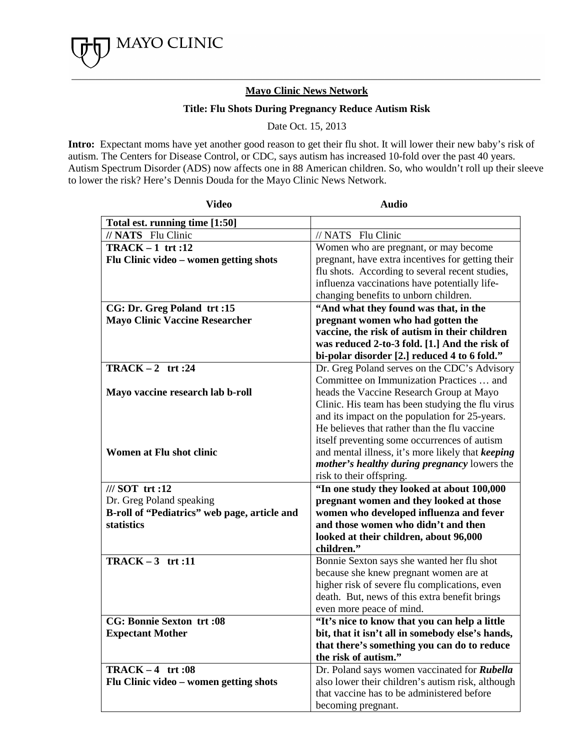

## **Mayo Clinic News Network**

## **Title: Flu Shots During Pregnancy Reduce Autism Risk**

Date Oct. 15, 2013

**Intro:** Expectant moms have yet another good reason to get their flu shot. It will lower their new baby's risk of autism. The Centers for Disease Control, or CDC, says autism has increased 10-fold over the past 40 years. Autism Spectrum Disorder (ADS) now affects one in 88 American children. So, who wouldn't roll up their sleeve to lower the risk? Here's Dennis Douda for the Mayo Clinic News Network.

| <b>Video</b>                                 | <b>Audio</b>                                                           |
|----------------------------------------------|------------------------------------------------------------------------|
| Total est. running time [1:50]               |                                                                        |
| // NATS Flu Clinic                           | // NATS Flu Clinic                                                     |
| $TRACK-1$ trt :12                            | Women who are pregnant, or may become                                  |
| Flu Clinic video - women getting shots       | pregnant, have extra incentives for getting their                      |
|                                              | flu shots. According to several recent studies,                        |
|                                              | influenza vaccinations have potentially life-                          |
|                                              | changing benefits to unborn children.                                  |
| CG: Dr. Greg Poland trt:15                   | "And what they found was that, in the                                  |
| <b>Mayo Clinic Vaccine Researcher</b>        | pregnant women who had gotten the                                      |
|                                              | vaccine, the risk of autism in their children                          |
|                                              | was reduced 2-to-3 fold. [1.] And the risk of                          |
|                                              | bi-polar disorder [2.] reduced 4 to 6 fold."                           |
| TRACK $-2$ trt:24                            | Dr. Greg Poland serves on the CDC's Advisory                           |
|                                              | Committee on Immunization Practices  and                               |
| Mayo vaccine research lab b-roll             | heads the Vaccine Research Group at Mayo                               |
|                                              | Clinic. His team has been studying the flu virus                       |
|                                              | and its impact on the population for 25-years.                         |
|                                              | He believes that rather than the flu vaccine                           |
|                                              | itself preventing some occurrences of autism                           |
| Women at Flu shot clinic                     | and mental illness, it's more likely that keeping                      |
|                                              | <i>mother's healthy during pregnancy lowers the</i>                    |
| /// SOT trt:12                               | risk to their offspring.<br>"In one study they looked at about 100,000 |
| Dr. Greg Poland speaking                     | pregnant women and they looked at those                                |
| B-roll of "Pediatrics" web page, article and | women who developed influenza and fever                                |
| statistics                                   | and those women who didn't and then                                    |
|                                              | looked at their children, about 96,000                                 |
|                                              | children."                                                             |
| $TRACK-3$ trt :11                            | Bonnie Sexton says she wanted her flu shot                             |
|                                              | because she knew pregnant women are at                                 |
|                                              | higher risk of severe flu complications, even                          |
|                                              | death. But, news of this extra benefit brings                          |
|                                              | even more peace of mind.                                               |
| <b>CG: Bonnie Sexton trt:08</b>              | "It's nice to know that you can help a little                          |
| <b>Expectant Mother</b>                      | bit, that it isn't all in somebody else's hands,                       |
|                                              | that there's something you can do to reduce                            |
|                                              | the risk of autism."                                                   |
| $TRACK-4$ trt :08                            | Dr. Poland says women vaccinated for <b>Rubella</b>                    |
| Flu Clinic video - women getting shots       | also lower their children's autism risk, although                      |
|                                              | that vaccine has to be administered before                             |
|                                              | becoming pregnant.                                                     |